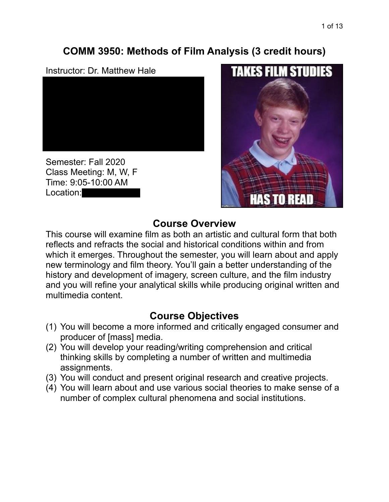# **COMM 3950: Methods of Film Analysis (3 credit hours)**

### Instructor: Dr. Matthew Hale



Semester: Fall 2020 Class Meeting: M, W, F Time: 9:05-10:00 AM Location:



## **Course Overview**

This course will examine film as both an artistic and cultural form that both reflects and refracts the social and historical conditions within and from which it emerges. Throughout the semester, you will learn about and apply new terminology and film theory. You'll gain a better understanding of the history and development of imagery, screen culture, and the film industry and you will refine your analytical skills while producing original written and multimedia content.

# **Course Objectives**

- (1) You will become a more informed and critically engaged consumer and producer of [mass] media.
- (2) You will develop your reading/writing comprehension and critical thinking skills by completing a number of written and multimedia assignments.
- (3) You will conduct and present original research and creative projects.
- (4) You will learn about and use various social theories to make sense of a number of complex cultural phenomena and social institutions.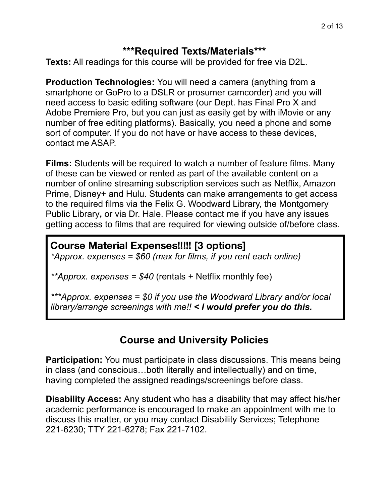### **\*\*\*Required Texts/Materials\*\*\***

**Texts:** All readings for this course will be provided for free via D2L.

**Production Technologies:** You will need a camera (anything from a smartphone or GoPro to a DSLR or prosumer camcorder) and you will need access to basic editing software (our Dept. has Final Pro X and Adobe Premiere Pro, but you can just as easily get by with iMovie or any number of free editing platforms). Basically, you need a phone and some sort of computer. If you do not have or have access to these devices, contact me ASAP.

**Films:** Students will be required to watch a number of feature films. Many of these can be viewed or rented as part of the available content on a number of online streaming subscription services such as Netflix, Amazon Prime, Disney+ and Hulu. Students can make arrangements to get access to the required films via the Felix G. Woodward Library, the Montgomery Public Library**,** or via Dr. Hale. Please contact me if you have any issues getting access to films that are required for viewing outside of/before class.

## **Course Material Expenses!!!!! [3 options]**

*\*Approx. expenses = \$60 (max for films, if you rent each online)* 

*\*\*Approx. expenses = \$40* (rentals + Netflix monthly fee)

*\*\*\*Approx. expenses = \$0 if you use the Woodward Library and/or local library/arrange screenings with me!! < I would prefer you do this.*

# **Course and University Policies**

**Participation:** You must participate in class discussions. This means being in class (and conscious…both literally and intellectually) and on time, having completed the assigned readings/screenings before class.

**Disability Access:** Any student who has a disability that may affect his/her academic performance is encouraged to make an appointment with me to discuss this matter, or you may contact Disability Services; Telephone 221-6230; TTY 221-6278; Fax 221-7102.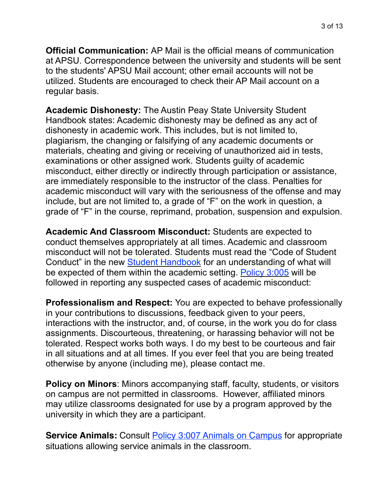**Official Communication:** AP Mail is the official means of communication at APSU. Correspondence between the university and students will be sent to the students' APSU Mail account; other email accounts will not be utilized. Students are encouraged to check their AP Mail account on a regular basis.

**Academic Dishonesty:** The Austin Peay State University Student Handbook states: Academic dishonesty may be defined as any act of dishonesty in academic work. This includes, but is not limited to, plagiarism, the changing or falsifying of any academic documents or materials, cheating and giving or receiving of unauthorized aid in tests, examinations or other assigned work. Students guilty of academic misconduct, either directly or indirectly through participation or assistance, are immediately responsible to the instructor of the class. Penalties for academic misconduct will vary with the seriousness of the offense and may include, but are not limited to, a grade of "F" on the work in question, a grade of "F" in the course, reprimand, probation, suspension and expulsion.

**Academic And Classroom Misconduct:** Students are expected to conduct themselves appropriately at all times. Academic and classroom misconduct will not be tolerated. Students must read the "Code of Student Conduct" in the new [Student Handbook](https://www.apsu.edu/handbook/index.php) for an understanding of what will be expected of them within the academic setting. [Policy 3:005](https://www.apsu.edu/policy/3s_student_policies/3005-student-academic-misconduct.php) will be followed in reporting any suspected cases of academic misconduct:

**Professionalism and Respect:** You are expected to behave professionally in your contributions to discussions, feedback given to your peers, interactions with the instructor, and, of course, in the work you do for class assignments. Discourteous, threatening, or harassing behavior will not be tolerated. Respect works both ways. I do my best to be courteous and fair in all situations and at all times. If you ever feel that you are being treated otherwise by anyone (including me), please contact me.

**Policy on Minors**: Minors accompanying staff, faculty, students, or visitors on campus are not permitted in classrooms. However, affiliated minors may utilize classrooms designated for use by a program approved by the university in which they are a participant.

**Service Animals:** Consult **[Policy 3:007 Animals on Campus](https://www.apsu.edu/policy/3s_student_policies/3007-animals-on-campus.php)** for appropriate situations allowing service animals in the classroom.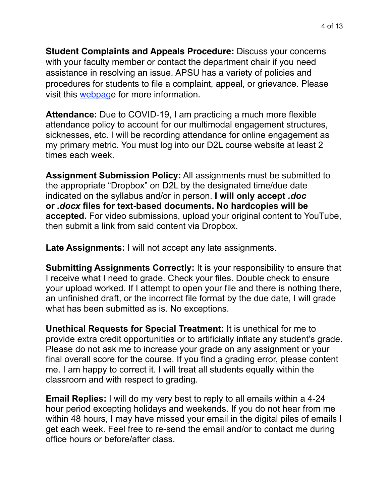**Student Complaints and Appeals Procedure:** Discuss your concerns with your faculty member or contact the department chair if you need assistance in resolving an issue. APSU has a variety of policies and procedures for students to file a complaint, appeal, or grievance. Please visit this [webpage](https://www.apsu.edu/student-affairs/dean-of-students/student-appeals-and-complaint-procedures/) for more information.

**Attendance:** Due to COVID-19, I am practicing a much more flexible attendance policy to account for our multimodal engagement structures, sicknesses, etc. I will be recording attendance for online engagement as my primary metric. You must log into our D2L course website at least 2 times each week.

**Assignment Submission Policy:** All assignments must be submitted to the appropriate "Dropbox" on D2L by the designated time/due date indicated on the syllabus and/or in person. **I will only accept** *.doc* **or** *.docx* **files for text-based documents. No hardcopies will be accepted.** For video submissions, upload your original content to YouTube, then submit a link from said content via Dropbox.

**Late Assignments:** I will not accept any late assignments.

**Submitting Assignments Correctly:** It is your responsibility to ensure that I receive what I need to grade. Check your files. Double check to ensure your upload worked. If I attempt to open your file and there is nothing there, an unfinished draft, or the incorrect file format by the due date, I will grade what has been submitted as is. No exceptions.

**Unethical Requests for Special Treatment:** It is unethical for me to provide extra credit opportunities or to artificially inflate any student's grade. Please do not ask me to increase your grade on any assignment or your final overall score for the course. If you find a grading error, please content me. I am happy to correct it. I will treat all students equally within the classroom and with respect to grading.

**Email Replies:** I will do my very best to reply to all emails within a 4-24 hour period excepting holidays and weekends. If you do not hear from me within 48 hours, I may have missed your email in the digital piles of emails I get each week. Feel free to re-send the email and/or to contact me during office hours or before/after class.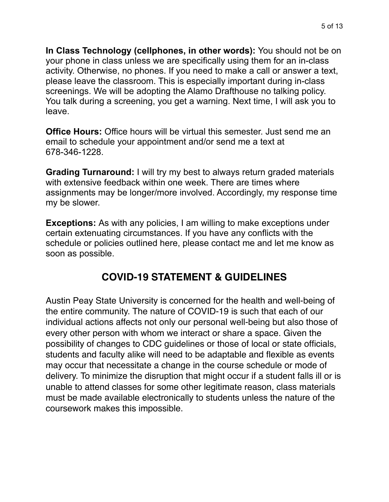**In Class Technology (cellphones, in other words):** You should not be on your phone in class unless we are specifically using them for an in-class activity. Otherwise, no phones. If you need to make a call or answer a text, please leave the classroom. This is especially important during in-class screenings. We will be adopting the Alamo Drafthouse no talking policy. You talk during a screening, you get a warning. Next time, I will ask you to leave.

**Office Hours:** Office hours will be virtual this semester. Just send me an email to schedule your appointment and/or send me a text at 678-346-1228.

**Grading Turnaround:** I will try my best to always return graded materials with extensive feedback within one week. There are times where assignments may be longer/more involved. Accordingly, my response time my be slower.

**Exceptions:** As with any policies, I am willing to make exceptions under certain extenuating circumstances. If you have any conflicts with the schedule or policies outlined here, please contact me and let me know as soon as possible.

# **COVID-19 STATEMENT & GUIDELINES**

Austin Peay State University is concerned for the health and well-being of the entire community. The nature of COVID-19 is such that each of our individual actions affects not only our personal well-being but also those of every other person with whom we interact or share a space. Given the possibility of changes to CDC guidelines or those of local or state officials, students and faculty alike will need to be adaptable and flexible as events may occur that necessitate a change in the course schedule or mode of delivery. To minimize the disruption that might occur if a student falls ill or is unable to attend classes for some other legitimate reason, class materials must be made available electronically to students unless the nature of the coursework makes this impossible.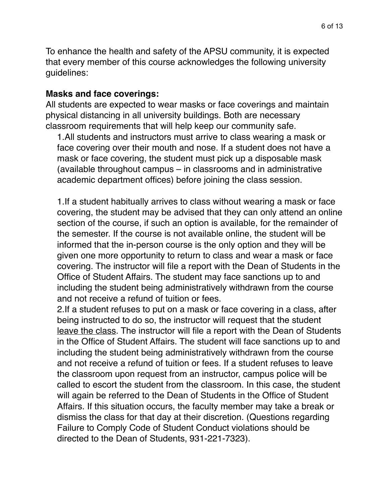To enhance the health and safety of the APSU community, it is expected that every member of this course acknowledges the following university guidelines:

#### **Masks and face coverings:**

All students are expected to wear masks or face coverings and maintain physical distancing in all university buildings. Both are necessary classroom requirements that will help keep our community safe.

1.All students and instructors must arrive to class wearing a mask or face covering over their mouth and nose. If a student does not have a mask or face covering, the student must pick up a disposable mask (available throughout campus – in classrooms and in administrative academic department offices) before joining the class session.

1.If a student habitually arrives to class without wearing a mask or face covering, the student may be advised that they can only attend an online section of the course, if such an option is available, for the remainder of the semester. If the course is not available online, the student will be informed that the in-person course is the only option and they will be given one more opportunity to return to class and wear a mask or face covering. The instructor will file a report with the Dean of Students in the Office of Student Affairs. The student may face sanctions up to and including the student being administratively withdrawn from the course and not receive a refund of tuition or fees.

2.If a student refuses to put on a mask or face covering in a class, after being instructed to do so, the instructor will request that the student leave the class. The instructor will file a report with the Dean of Students in the Office of Student Affairs. The student will face sanctions up to and including the student being administratively withdrawn from the course and not receive a refund of tuition or fees. If a student refuses to leave the classroom upon request from an instructor, campus police will be called to escort the student from the classroom. In this case, the student will again be referred to the Dean of Students in the Office of Student Affairs. If this situation occurs, the faculty member may take a break or dismiss the class for that day at their discretion. (Questions regarding Failure to Comply Code of Student Conduct violations should be directed to the Dean of Students, 931-221-7323).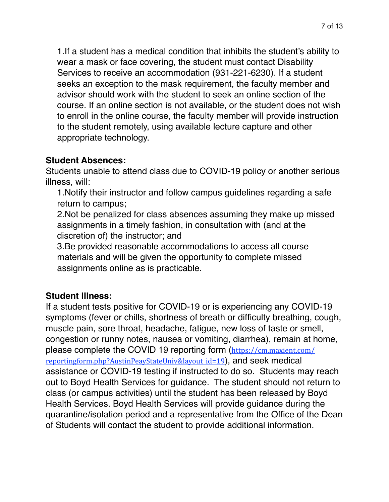1.If a student has a medical condition that inhibits the student's ability to wear a mask or face covering, the student must contact Disability Services to receive an accommodation (931-221-6230). If a student seeks an exception to the mask requirement, the faculty member and advisor should work with the student to seek an online section of the course. If an online section is not available, or the student does not wish to enroll in the online course, the faculty member will provide instruction to the student remotely, using available lecture capture and other appropriate technology.

### **Student Absences:**

Students unable to attend class due to COVID-19 policy or another serious illness, will:

1.Notify their instructor and follow campus guidelines regarding a safe return to campus;

2.Not be penalized for class absences assuming they make up missed assignments in a timely fashion, in consultation with (and at the discretion of) the instructor; and

3.Be provided reasonable accommodations to access all course materials and will be given the opportunity to complete missed assignments online as is practicable.

## **Student Illness:**

If a student tests positive for COVID-19 or is experiencing any COVID-19 symptoms (fever or chills, shortness of breath or difficulty breathing, cough, muscle pain, sore throat, headache, fatigue, new loss of taste or smell, congestion or runny notes, nausea or vomiting, diarrhea), remain at home, please complete the COVID 19 reporting form ([https://cm.maxient.com/](https://cm.maxient.com/reportingform.php?AustinPeayStateUniv&layout_id=19) reportingform.php?AustinPeayStateUniv&layout id=19), and seek medical assistance or COVID-19 testing if instructed to do so. Students may reach out to Boyd Health Services for guidance. The student should not return to class (or campus activities) until the student has been released by Boyd Health Services. Boyd Health Services will provide guidance during the quarantine/isolation period and a representative from the Office of the Dean of Students will contact the student to provide additional information.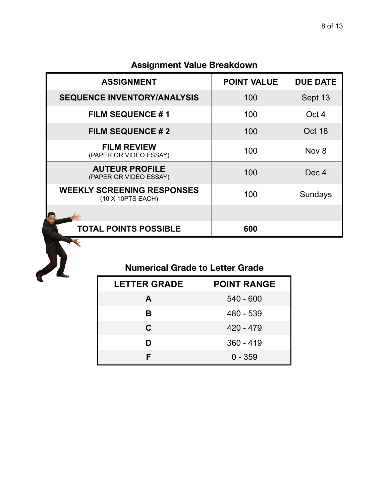## **Assignment Value Breakdown**

| <b>ASSIGNMENT</b>                                      | <b>POINT VALUE</b> | <b>DUE DATE</b>  |
|--------------------------------------------------------|--------------------|------------------|
| <b>SEQUENCE INVENTORY/ANALYSIS</b>                     | 100                | Sept 13          |
| <b>FILM SEQUENCE #1</b>                                | 100                | Oct 4            |
| <b>FILM SEQUENCE #2</b>                                | 100                | Oct 18           |
| <b>FILM REVIEW</b><br>(PAPER OR VIDEO ESSAY)           | 100                | Nov <sub>8</sub> |
| <b>AUTEUR PROFILE</b><br>(PAPER OR VIDEO ESSAY)        | 100                | Dec 4            |
| <b>WEEKLY SCREENING RESPONSES</b><br>(10 X 10PTS EACH) | 100                | Sundays          |
|                                                        |                    |                  |
| <b>TOTAL POINTS POSSIBLE</b>                           | 600                |                  |

# **Numerical Grade to Letter Grade**

| <b>LETTER GRADE</b> | <b>POINT RANGE</b> |
|---------------------|--------------------|
| A                   | $540 - 600$        |
| в                   | 480 - 539          |
| C                   | $420 - 479$        |
| D                   | $360 - 419$        |
| F                   | $0 - 359$          |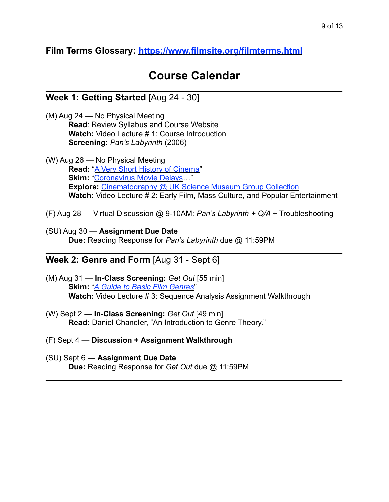**Film Terms Glossary:<https://www.filmsite.org/filmterms.html>**

## **Course Calendar**  $\mathcal{L}_\text{max}$  and  $\mathcal{L}_\text{max}$  and  $\mathcal{L}_\text{max}$  and  $\mathcal{L}_\text{max}$  and  $\mathcal{L}_\text{max}$  and  $\mathcal{L}_\text{max}$

### **Week 1: Getting Started** [Aug 24 - 30]

- (M) Aug 24 No Physical Meeting **Read**: Review Syllabus and Course Website **Watch:** Video Lecture # 1: Course Introduction **Screening:** *Pan's Labyrinth* (2006)
- (W) Aug 26 No Physical Meeting **Read:** "[A Very Short History of Cinema](https://www.scienceandmediamuseum.org.uk/objects-and-stories/very-short-history-of-cinema)" **Skim: ["Coronavirus Movie Delays](https://www.cnet.com/news/coronavirus-movie-delays-2020-and-2021-blockbusters-new-release-dates/)..." Explore:** [Cinematography @ UK Science Museum Group Collection](https://collection.sciencemuseumgroup.org.uk/search/categories/cinematography) **Watch:** Video Lecture # 2: Early Film, Mass Culture, and Popular Entertainment
- (F) Aug 28 Virtual Discussion @ 9-10AM: *Pan's Labyrinth + Q/A +* Troubleshooting

 $\mathcal{L}_\text{max} = \mathcal{L}_\text{max} = \mathcal{L}_\text{max} = \mathcal{L}_\text{max} = \mathcal{L}_\text{max} = \mathcal{L}_\text{max} = \mathcal{L}_\text{max} = \mathcal{L}_\text{max} = \mathcal{L}_\text{max} = \mathcal{L}_\text{max} = \mathcal{L}_\text{max} = \mathcal{L}_\text{max} = \mathcal{L}_\text{max} = \mathcal{L}_\text{max} = \mathcal{L}_\text{max} = \mathcal{L}_\text{max} = \mathcal{L}_\text{max} = \mathcal{L}_\text{max} = \mathcal{$ 

 $\mathcal{L}_\text{max}$  and  $\mathcal{L}_\text{max}$  and  $\mathcal{L}_\text{max}$  and  $\mathcal{L}_\text{max}$  and  $\mathcal{L}_\text{max}$  and  $\mathcal{L}_\text{max}$ 

(SU) Aug 30 — **Assignment Due Date Due:** Reading Response for *Pan's Labyrinth* due @ 11:59PM

#### **Week 2: Genre and Form** [Aug 31 - Sept 6]

- (M) Aug 31 — **In-Class Screening:** *Get Out* [55 min] **Skim:** "*[A Guide to Basic Film Genres](https://www.premiumbeat.com/blog/guide-to-basic-film-genres/)*" **Watch:** Video Lecture # 3: Sequence Analysis Assignment Walkthrough
- (W) Sept 2 — **In-Class Screening:** *Get Out* [49 min]  **Read:** Daniel Chandler, "An Introduction to Genre Theory."
- (F) Sept 4 **Discussion + Assignment Walkthrough**
- (SU) Sept 6 **Assignment Due Date Due:** Reading Response for *Get Out* due @ 11:59PM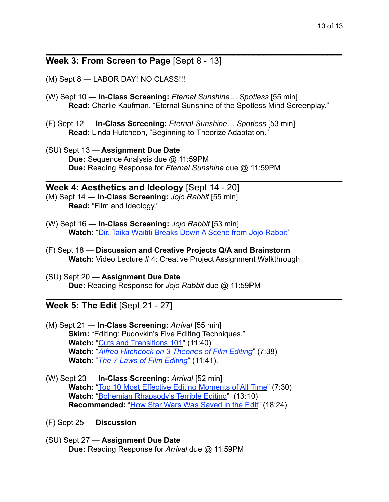### **Week 3: From Screen to Page** [Sept 8 - 13]

- (M) Sept 8 LABOR DAY! NO CLASS!!!
- (W) Sept 10 — **In-Class Screening:** *Eternal Sunshine… Spotless* [55 min] **Read:** Charlie Kaufman, "Eternal Sunshine of the Spotless Mind Screenplay."

 $\mathcal{L}_\text{max} = \mathcal{L}_\text{max} = \mathcal{L}_\text{max} = \mathcal{L}_\text{max} = \mathcal{L}_\text{max} = \mathcal{L}_\text{max} = \mathcal{L}_\text{max} = \mathcal{L}_\text{max} = \mathcal{L}_\text{max} = \mathcal{L}_\text{max} = \mathcal{L}_\text{max} = \mathcal{L}_\text{max} = \mathcal{L}_\text{max} = \mathcal{L}_\text{max} = \mathcal{L}_\text{max} = \mathcal{L}_\text{max} = \mathcal{L}_\text{max} = \mathcal{L}_\text{max} = \mathcal{$ 

 $\mathcal{L}_\text{max}$  and  $\mathcal{L}_\text{max}$  and  $\mathcal{L}_\text{max}$  and  $\mathcal{L}_\text{max}$  and  $\mathcal{L}_\text{max}$  and  $\mathcal{L}_\text{max}$ 

 $\mathcal{L}_\text{max}$  and  $\mathcal{L}_\text{max}$  and  $\mathcal{L}_\text{max}$  and  $\mathcal{L}_\text{max}$  and  $\mathcal{L}_\text{max}$  and  $\mathcal{L}_\text{max}$ 

- (F) Sept 12 **In-Class Screening:** *Eternal Sunshine… Spotless* [53 min] **Read:** Linda Hutcheon, "Beginning to Theorize Adaptation."
- (SU) Sept 13 — **Assignment Due Date Due:** Sequence Analysis due @ 11:59PM **Due:** Reading Response for *Eternal Sunshine* due @ 11:59PM

#### **Week 4: Aesthetics and Ideology** [Sept 14 - 20]

- (M) Sept 14 **In-Class Screening:** *Jojo Rabbit* [55 min] **Read:** "Film and Ideology."
- (W) Sept 16 — **In-Class Screening:** *Jojo Rabbit* [53 min] **Watch:** "[Dir. Taika Waititi Breaks Down A Scene from Jojo Rabbit](https://youtu.be/3y3FRGCG7o8)*"*
- (F) Sept 18 **Discussion and Creative Projects Q/A and Brainstorm Watch:** Video Lecture # 4: Creative Project Assignment Walkthrough
- (SU) Sept 20 **Assignment Due Date Due:** Reading Response for *Jojo Rabbit* due @ 11:59PM

#### **Week 5: The Edit** [Sept 21 - 27]

- (M) Sept 21 **In-Class Screening:** *Arrival* [55 min] **Skim: "Editing: Pudovkin's Five Editing Techniques." Watch:** "[Cuts and Transitions 101"](https://youtu.be/OAH0MoAv2CI) (11:40) **Watch:** "*[Alfred Hitchcock on 3 Theories of Film Editing](https://youtu.be/MJQE7Kv-9JU)*" (7:38) **Watch**: "*[The 7 Laws of Film Editing](https://youtu.be/i9mGSDluh9g)*" (11:41).
- (W) Sept 23 **In-Class Screening:** *Arrival* [52 min] **Watch:** "[Top 10 Most Effective Editing Moments of All Time"](https://youtu.be/bQtkbQkURCI) (7:30) **Watch:** "[Bohemian Rhapsody's Terrible Editing](https://youtu.be/4dn8Fd0TYek)" (13:10) **Recommended:** ["How Star Wars Was Saved in the Edit"](https://youtu.be/GFMyMxMYDNk) (18:24)
- (F) Sept 25 **Discussion**
- (SU) Sept 27 **Assignment Due Date Due:** Reading Response for *Arrival* due @ 11:59PM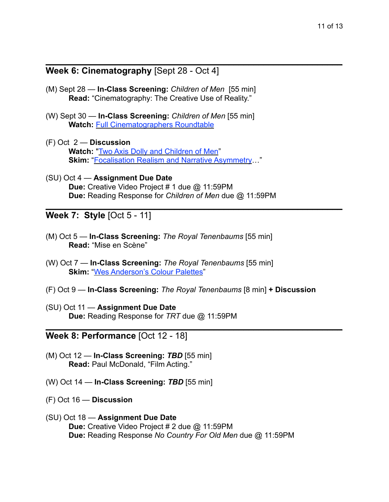### **Week 6: Cinematography** [Sept 28 - Oct 4]

(M) Sept 28 — **In-Class Screening:** *Children of Men*[55 min] **Read:** "Cinematography: The Creative Use of Reality."

 $\mathcal{L}_\text{max}$  and  $\mathcal{L}_\text{max}$  and  $\mathcal{L}_\text{max}$  and  $\mathcal{L}_\text{max}$  and  $\mathcal{L}_\text{max}$  and  $\mathcal{L}_\text{max}$ 

 $\mathcal{L}_\text{max}$  and  $\mathcal{L}_\text{max}$  and  $\mathcal{L}_\text{max}$  and  $\mathcal{L}_\text{max}$  and  $\mathcal{L}_\text{max}$  and  $\mathcal{L}_\text{max}$ 

- (W) Sept 30 **In-Class Screening:** *Children of Men* [55 min] **Watch:** [Full Cinematographers Roundtable](https://youtu.be/m6fzZWP6XgE)
- (F) Oct 2 — **Discussion Watch:** ["Two Axis Dolly and Children of Men"](https://youtu.be/GJprbCuWdHo) **Skim:** ["Focalisation Realism and Narrative Asymmetry…](http://sensesofcinema.com/2014/feature-articles/focalization-realism-and-narrative-asymmetry-in-alfonso-cuarons-children-of-men/)"
- (SU) Oct 4 **Assignment Due Date Due:** Creative Video Project # 1 due @ 11:59PM **Due:** Reading Response for *Children of Men* due @ 11:59PM

**Week 7: Style** [Oct 5 - 11]

- (M) Oct 5 **In-Class Screening:** *The Royal Tenenbaums* [55 min] **Read:** "Mise en Scène"
- (W) Oct 7 **In-Class Screening:** *The Royal Tenenbaums* [55 min] **Skim: ["Wes Anderson's Colour Palettes"](https://www.anothermag.com/art-photography/3586/wes-andersons-colour-palettes)**
- (F) Oct 9 **In-Class Screening:** *The Royal Tenenbaums* [8 min] **+ Discussion**

 $\mathcal{L}_\text{max}$  and  $\mathcal{L}_\text{max}$  and  $\mathcal{L}_\text{max}$  and  $\mathcal{L}_\text{max}$  and  $\mathcal{L}_\text{max}$  and  $\mathcal{L}_\text{max}$ 

(SU) Oct 11 — **Assignment Due Date Due:** Reading Response for *TRT* due @ 11:59PM

**Week 8: Performance** [Oct 12 - 18]

- (M) Oct 12 **In-Class Screening:** *TBD* [55 min]  **Read:** Paul McDonald, "Film Acting."
- (W) Oct 14 **In-Class Screening:** *TBD* [55 min]
- (F) Oct 16 **Discussion**
- (SU) Oct 18 **Assignment Due Date Due:** Creative Video Project # 2 due @ 11:59PM **Due:** Reading Response *No Country For Old Men* due @ 11:59PM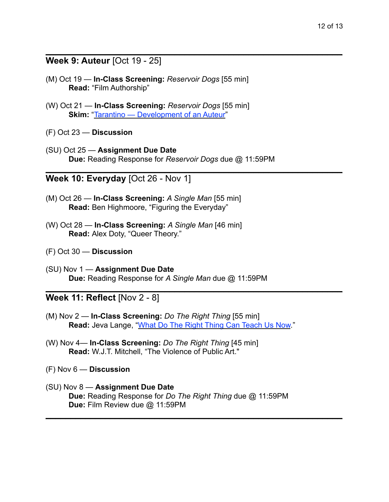### **Week 9: Auteur** [Oct 19 - 25]

(M) Oct 19 — **In-Class Screening:** *Reservoir Dogs* [55 min] **Read:** "Film Authorship"

 $\mathcal{L}_\text{max}$  and  $\mathcal{L}_\text{max}$  and  $\mathcal{L}_\text{max}$  and  $\mathcal{L}_\text{max}$  and  $\mathcal{L}_\text{max}$  and  $\mathcal{L}_\text{max}$ 

 $\mathcal{L}_\text{max}$  and  $\mathcal{L}_\text{max}$  and  $\mathcal{L}_\text{max}$  and  $\mathcal{L}_\text{max}$  and  $\mathcal{L}_\text{max}$  and  $\mathcal{L}_\text{max}$ 

 $\mathcal{L}_\text{max}$  and  $\mathcal{L}_\text{max}$  and  $\mathcal{L}_\text{max}$  and  $\mathcal{L}_\text{max}$  and  $\mathcal{L}_\text{max}$  and  $\mathcal{L}_\text{max}$ 

 $\mathcal{L}_\text{max}$  and  $\mathcal{L}_\text{max}$  and  $\mathcal{L}_\text{max}$  and  $\mathcal{L}_\text{max}$  and  $\mathcal{L}_\text{max}$  and  $\mathcal{L}_\text{max}$ 

- (W) Oct 21 **In-Class Screening:** *Reservoir Dogs* [55 min] **Skim:** ["Tarantino — Development of an Auteur"](https://missfilm.home.blog/2020/02/17/tarantino-development-of-an-auteur/)
- (F) Oct 23 **Discussion**
- (SU) Oct 25 **Assignment Due Date Due:** Reading Response for *Reservoir Dogs* due @ 11:59PM

### **Week 10: Everyday** [Oct 26 - Nov 1]

- (M) Oct 26 **In-Class Screening:** *A Single Man* [55 min] **Read:** Ben Highmoore, "Figuring the Everyday"
- (W) Oct 28 **In-Class Screening:** *A Single Man* [46 min] **Read:** Alex Doty, "Queer Theory."
- (F) Oct 30 **Discussion**
- (SU) Nov 1 **Assignment Due Date Due:** Reading Response for *A Single Man* due @ 11:59PM

### **Week 11: Reflect** [Nov 2 - 8]

- (M) Nov 2 **In-Class Screening:** *Do The Right Thing* [55 min]  **Read:** Jeva Lange, ["What Do The Right Thing Can Teach Us Now.](https://theweek.com/articles/917531/what-right-thing-teach-now)"
- (W) Nov 4— **In-Class Screening:** *Do The Right Thing* [45 min]  **Read:** W.J.T. Mitchell, "The Violence of Public Art."
- (F) Nov 6 **Discussion**
- (SU) Nov 8 **Assignment Due Date Due:** Reading Response for *Do The Right Thing* due @ 11:59PM **Due:** Film Review due @ 11:59PM